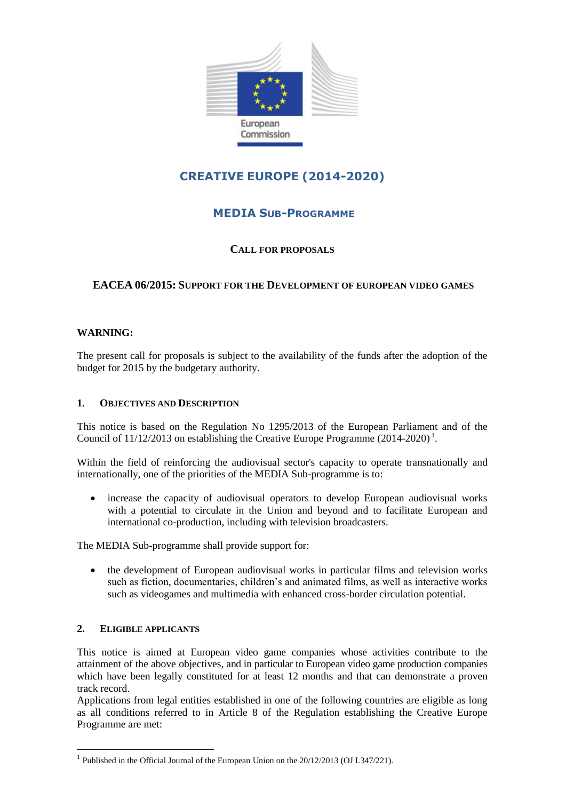

# **CREATIVE EUROPE (2014-2020)**

# **MEDIA SUB-PROGRAMME**

# **CALL FOR PROPOSALS**

# **EACEA 06/2015: SUPPORT FOR THE DEVELOPMENT OF EUROPEAN VIDEO GAMES**

# **WARNING:**

The present call for proposals is subject to the availability of the funds after the adoption of the budget for 2015 by the budgetary authority.

#### **1. OBJECTIVES AND DESCRIPTION**

This notice is based on the Regulation No 1295/2013 of the European Parliament and of the Council of  $11/12/2013$  on establishing the Creative Europe Programme (2014-2020)<sup>1</sup>.

Within the field of reinforcing the audiovisual sector's capacity to operate transnationally and internationally, one of the priorities of the MEDIA Sub-programme is to:

 increase the capacity of audiovisual operators to develop European audiovisual works with a potential to circulate in the Union and beyond and to facilitate European and international co-production, including with television broadcasters.

The MEDIA Sub-programme shall provide support for:

 the development of European audiovisual works in particular films and television works such as fiction, documentaries, children's and animated films, as well as interactive works such as videogames and multimedia with enhanced cross-border circulation potential.

# **2. ELIGIBLE APPLICANTS**

1

This notice is aimed at European video game companies whose activities contribute to the attainment of the above objectives, and in particular to European video game production companies which have been legally constituted for at least 12 months and that can demonstrate a proven track record.

Applications from legal entities established in one of the following countries are eligible as long as all conditions referred to in Article 8 of the Regulation establishing the Creative Europe Programme are met:

<sup>&</sup>lt;sup>1</sup> Published in the Official Journal of the European Union on the 20/12/2013 (OJ L347/221).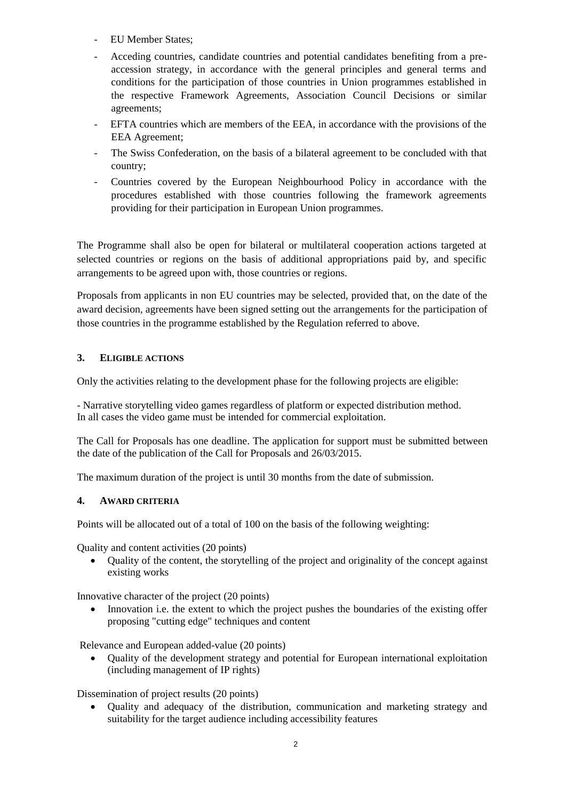- EU Member States;
- Acceding countries, candidate countries and potential candidates benefiting from a preaccession strategy, in accordance with the general principles and general terms and conditions for the participation of those countries in Union programmes established in the respective Framework Agreements, Association Council Decisions or similar agreements;
- EFTA countries which are members of the EEA, in accordance with the provisions of the EEA Agreement;
- The Swiss Confederation, on the basis of a bilateral agreement to be concluded with that country;
- Countries covered by the European Neighbourhood Policy in accordance with the procedures established with those countries following the framework agreements providing for their participation in European Union programmes.

The Programme shall also be open for bilateral or multilateral cooperation actions targeted at selected countries or regions on the basis of additional appropriations paid by, and specific arrangements to be agreed upon with, those countries or regions.

Proposals from applicants in non EU countries may be selected, provided that, on the date of the award decision, agreements have been signed setting out the arrangements for the participation of those countries in the programme established by the Regulation referred to above.

# **3. ELIGIBLE ACTIONS**

Only the activities relating to the development phase for the following projects are eligible:

- Narrative storytelling video games regardless of platform or expected distribution method. In all cases the video game must be intended for commercial exploitation.

The Call for Proposals has one deadline. The application for support must be submitted between the date of the publication of the Call for Proposals and 26/03/2015.

The maximum duration of the project is until 30 months from the date of submission.

#### **4. AWARD CRITERIA**

Points will be allocated out of a total of 100 on the basis of the following weighting:

Quality and content activities (20 points)

 Quality of the content, the storytelling of the project and originality of the concept against existing works

Innovative character of the project (20 points)

 Innovation i.e. the extent to which the project pushes the boundaries of the existing offer proposing "cutting edge" techniques and content

Relevance and European added-value (20 points)

 Quality of the development strategy and potential for European international exploitation (including management of IP rights)

Dissemination of project results (20 points)

 Quality and adequacy of the distribution, communication and marketing strategy and suitability for the target audience including accessibility features